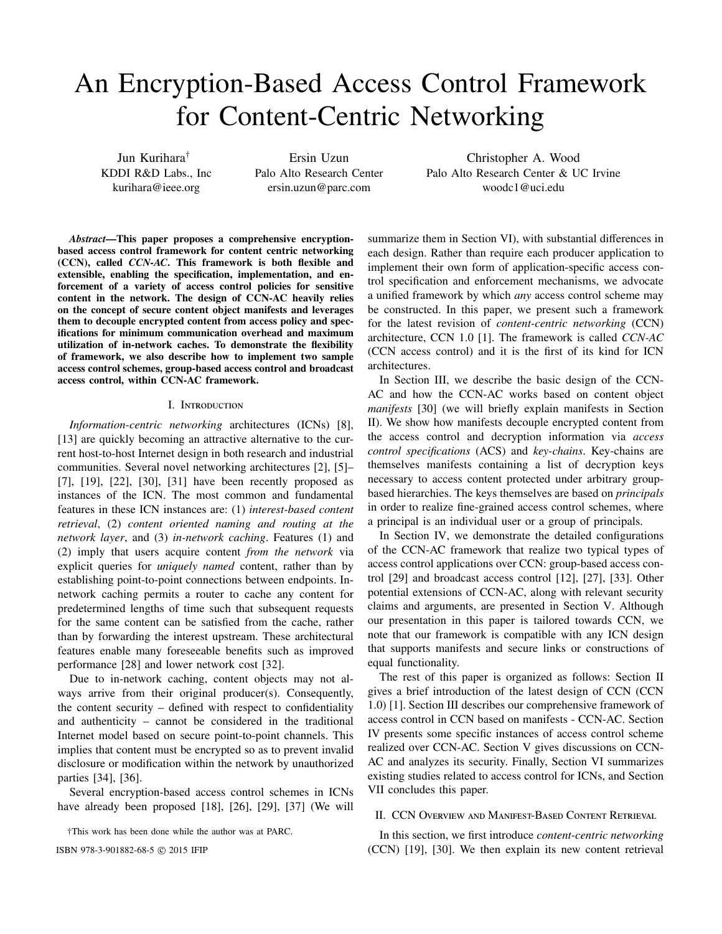# An Encryption-Based Access Control Framework for Content-Centric Networking

Jun Kurihara† KDDI R&D Labs., Inc kurihara@ieee.org

Ersin Uzun Palo Alto Research Center ersin.uzun@parc.com

Christopher A. Wood Palo Alto Research Center & UC Irvine woodc1@uci.edu

*Abstract*—This paper proposes a comprehensive encryptionbased access control framework for content centric networking (CCN), called *CCN-AC*. This framework is both flexible and extensible, enabling the specification, implementation, and enforcement of a variety of access control policies for sensitive content in the network. The design of CCN-AC heavily relies on the concept of secure content object manifests and leverages them to decouple encrypted content from access policy and specifications for minimum communication overhead and maximum utilization of in-network caches. To demonstrate the flexibility of framework, we also describe how to implement two sample access control schemes, group-based access control and broadcast access control, within CCN-AC framework.

#### I. Introduction

*Information-centric networking* architectures (ICNs) [8], [13] are quickly becoming an attractive alternative to the current host-to-host Internet design in both research and industrial communities. Several novel networking architectures [2], [5]– [7], [19], [22], [30], [31] have been recently proposed as instances of the ICN. The most common and fundamental features in these ICN instances are: (1) *interest-based content retrieval*, (2) *content oriented naming and routing at the network layer*, and (3) *in-network caching*. Features (1) and (2) imply that users acquire content *from the network* via explicit queries for *uniquely named* content, rather than by establishing point-to-point connections between endpoints. Innetwork caching permits a router to cache any content for predetermined lengths of time such that subsequent requests for the same content can be satisfied from the cache, rather than by forwarding the interest upstream. These architectural features enable many foreseeable benefits such as improved performance [28] and lower network cost [32].

Due to in-network caching, content objects may not always arrive from their original producer(s). Consequently, the content security – defined with respect to confidentiality and authenticity – cannot be considered in the traditional Internet model based on secure point-to-point channels. This implies that content must be encrypted so as to prevent invalid disclosure or modification within the network by unauthorized parties [34], [36].

Several encryption-based access control schemes in ICNs have already been proposed [18], [26], [29], [37] (We will

†This work has been done while the author was at PARC.

summarize them in Section VI), with substantial differences in each design. Rather than require each producer application to implement their own form of application-specific access control specification and enforcement mechanisms, we advocate a unified framework by which *any* access control scheme may be constructed. In this paper, we present such a framework for the latest revision of *content-centric networking* (CCN) architecture, CCN 1.0 [1]. The framework is called *CCN-AC* (CCN access control) and it is the first of its kind for ICN architectures.

In Section III, we describe the basic design of the CCN-AC and how the CCN-AC works based on content object *manifests* [30] (we will briefly explain manifests in Section II). We show how manifests decouple encrypted content from the access control and decryption information via *access control specifications* (ACS) and *key-chains*. Key-chains are themselves manifests containing a list of decryption keys necessary to access content protected under arbitrary groupbased hierarchies. The keys themselves are based on *principals* in order to realize fine-grained access control schemes, where a principal is an individual user or a group of principals.

In Section IV, we demonstrate the detailed configurations of the CCN-AC framework that realize two typical types of access control applications over CCN: group-based access control [29] and broadcast access control [12], [27], [33]. Other potential extensions of CCN-AC, along with relevant security claims and arguments, are presented in Section V. Although our presentation in this paper is tailored towards CCN, we note that our framework is compatible with any ICN design that supports manifests and secure links or constructions of equal functionality.

The rest of this paper is organized as follows: Section II gives a brief introduction of the latest design of CCN (CCN 1.0) [1]. Section III describes our comprehensive framework of access control in CCN based on manifests - CCN-AC. Section IV presents some specific instances of access control scheme realized over CCN-AC. Section V gives discussions on CCN-AC and analyzes its security. Finally, Section VI summarizes existing studies related to access control for ICNs, and Section VII concludes this paper.

# II. CCN Overview and Manifest-Based Content Retrieval

In this section, we first introduce *content-centric networking* ISBN 978-3-901882-68-5  $\odot$  2015 IFIP (CCN) [19], [30]. We then explain its new content retrieval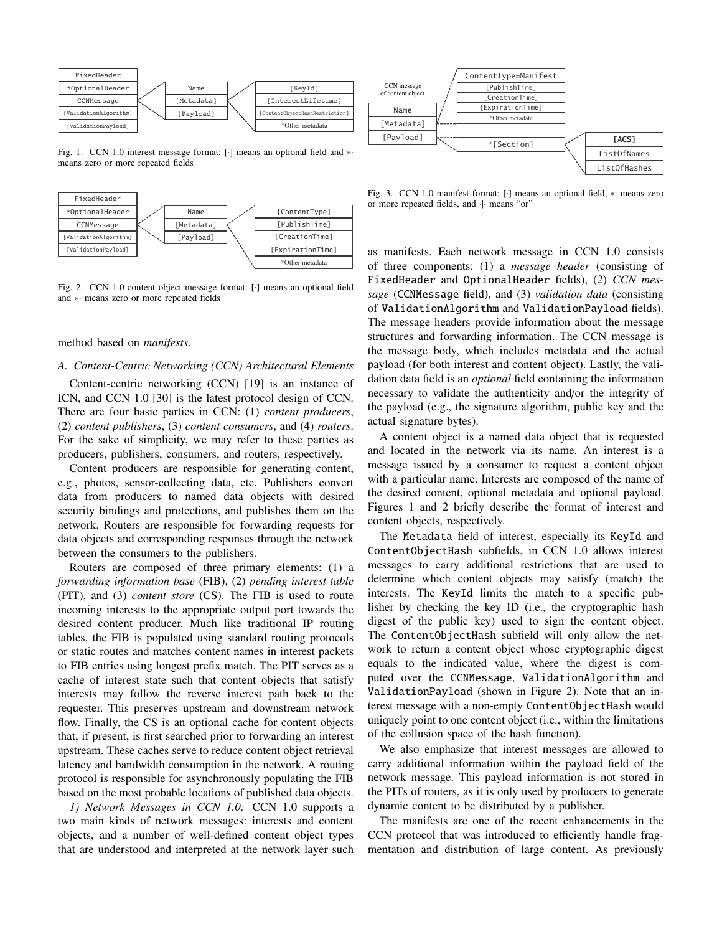

Fig. 1. CCN 1.0 interest message format: [·] means an optional field and ∗· means zero or more repeated fields



Fig. 2. CCN 1.0 content object message format: [·] means an optional field and ∗· means zero or more repeated fields

# method based on *manifests*.

#### *A. Content-Centric Networking (CCN) Architectural Elements*

Content-centric networking (CCN) [19] is an instance of ICN, and CCN 1.0 [30] is the latest protocol design of CCN. There are four basic parties in CCN: (1) *content producers*, (2) *content publishers*, (3) *content consumers*, and (4) *routers*. For the sake of simplicity, we may refer to these parties as producers, publishers, consumers, and routers, respectively.

Content producers are responsible for generating content, e.g., photos, sensor-collecting data, etc. Publishers convert data from producers to named data objects with desired security bindings and protections, and publishes them on the network. Routers are responsible for forwarding requests for data objects and corresponding responses through the network between the consumers to the publishers.

Routers are composed of three primary elements: (1) a *forwarding information base* (FIB), (2) *pending interest table* (PIT), and (3) *content store* (CS). The FIB is used to route incoming interests to the appropriate output port towards the desired content producer. Much like traditional IP routing tables, the FIB is populated using standard routing protocols or static routes and matches content names in interest packets to FIB entries using longest prefix match. The PIT serves as a cache of interest state such that content objects that satisfy interests may follow the reverse interest path back to the requester. This preserves upstream and downstream network flow. Finally, the CS is an optional cache for content objects that, if present, is first searched prior to forwarding an interest upstream. These caches serve to reduce content object retrieval latency and bandwidth consumption in the network. A routing protocol is responsible for asynchronously populating the FIB based on the most probable locations of published data objects.

*1) Network Messages in CCN 1.0:* CCN 1.0 supports a two main kinds of network messages: interests and content objects, and a number of well-defined content object types that are understood and interpreted at the network layer such



Fig. 3. CCN 1.0 manifest format: [·] means an optional field, ∗· means zero or more repeated fields, and  $\cdot$  means "or"

as manifests. Each network message in CCN 1.0 consists of three components: (1) a *message header* (consisting of FixedHeader and OptionalHeader fields), (2) *CCN message* (CCNMessage field), and (3) *validation data* (consisting of ValidationAlgorithm and ValidationPayload fields). The message headers provide information about the message structures and forwarding information. The CCN message is the message body, which includes metadata and the actual payload (for both interest and content object). Lastly, the validation data field is an *optional* field containing the information necessary to validate the authenticity and/or the integrity of the payload (e.g., the signature algorithm, public key and the actual signature bytes).

A content object is a named data object that is requested and located in the network via its name. An interest is a message issued by a consumer to request a content object with a particular name. Interests are composed of the name of the desired content, optional metadata and optional payload. Figures 1 and 2 briefly describe the format of interest and content objects, respectively.

The Metadata field of interest, especially its KeyId and ContentObjectHash subfields, in CCN 1.0 allows interest messages to carry additional restrictions that are used to determine which content objects may satisfy (match) the interests. The KeyId limits the match to a specific publisher by checking the key ID (i.e., the cryptographic hash digest of the public key) used to sign the content object. The ContentObjectHash subfield will only allow the network to return a content object whose cryptographic digest equals to the indicated value, where the digest is computed over the CCNMessage, ValidationAlgorithm and ValidationPayload (shown in Figure 2). Note that an interest message with a non-empty ContentObjectHash would uniquely point to one content object (i.e., within the limitations of the collusion space of the hash function).

We also emphasize that interest messages are allowed to carry additional information within the payload field of the network message. This payload information is not stored in the PITs of routers, as it is only used by producers to generate dynamic content to be distributed by a publisher.

The manifests are one of the recent enhancements in the CCN protocol that was introduced to efficiently handle fragmentation and distribution of large content. As previously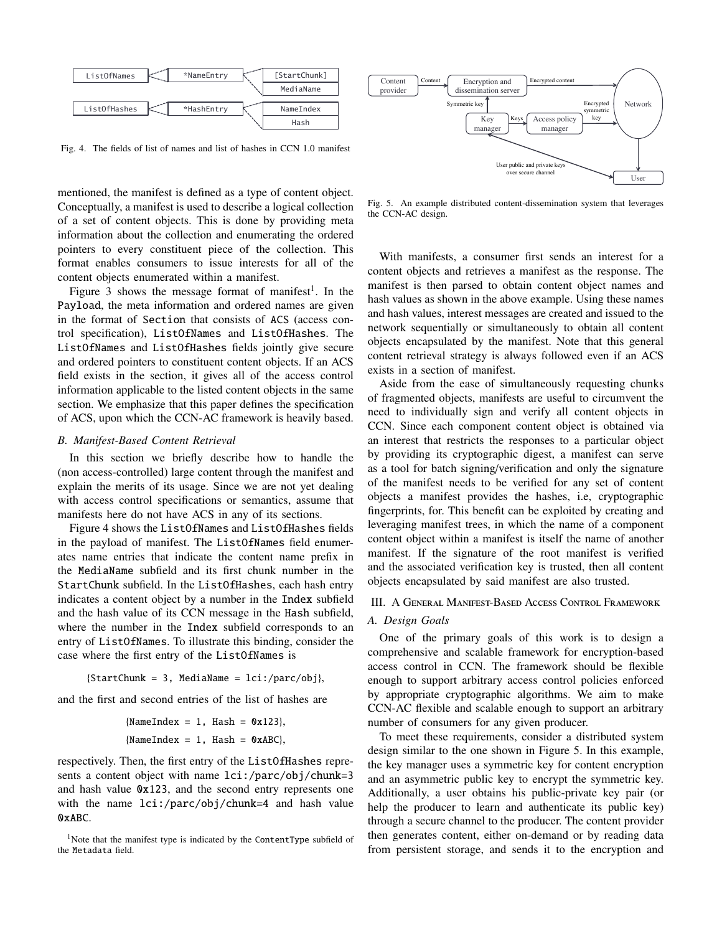

Fig. 4. The fields of list of names and list of hashes in CCN 1.0 manifest

mentioned, the manifest is defined as a type of content object. Conceptually, a manifest is used to describe a logical collection of a set of content objects. This is done by providing meta information about the collection and enumerating the ordered pointers to every constituent piece of the collection. This format enables consumers to issue interests for all of the content objects enumerated within a manifest.

Figure 3 shows the message format of manifest<sup>1</sup>. In the Payload, the meta information and ordered names are given in the format of Section that consists of ACS (access control specification), ListOfNames and ListOfHashes. The ListOfNames and ListOfHashes fields jointly give secure and ordered pointers to constituent content objects. If an ACS field exists in the section, it gives all of the access control information applicable to the listed content objects in the same section. We emphasize that this paper defines the specification of ACS, upon which the CCN-AC framework is heavily based.

# *B. Manifest-Based Content Retrieval*

In this section we briefly describe how to handle the (non access-controlled) large content through the manifest and explain the merits of its usage. Since we are not yet dealing with access control specifications or semantics, assume that manifests here do not have ACS in any of its sections.

Figure 4 shows the ListOfNames and ListOfHashes fields in the payload of manifest. The ListOfNames field enumerates name entries that indicate the content name prefix in the MediaName subfield and its first chunk number in the StartChunk subfield. In the ListOfHashes, each hash entry indicates a content object by a number in the Index subfield and the hash value of its CCN message in the Hash subfield, where the number in the Index subfield corresponds to an entry of ListOfNames. To illustrate this binding, consider the case where the first entry of the ListOfNames is

 ${StartChunk = 3, MedianE = 7;$ 

and the first and second entries of the list of hashes are

$$
\{NameIndex = 1, Hash = 0x123\},\
$$

$$
\{NameIndex = 1, Hash = 0xABC\},
$$

respectively. Then, the first entry of the ListOfHashes represents a content object with name lci:/parc/obj/chunk=3 and hash value 0x123, and the second entry represents one with the name lci:/parc/obj/chunk=4 and hash value 0xABC.

<sup>1</sup>Note that the manifest type is indicated by the ContentType subfield of the Metadata field.



Fig. 5. An example distributed content-dissemination system that leverages the CCN-AC design.

With manifests, a consumer first sends an interest for a content objects and retrieves a manifest as the response. The manifest is then parsed to obtain content object names and hash values as shown in the above example. Using these names and hash values, interest messages are created and issued to the network sequentially or simultaneously to obtain all content objects encapsulated by the manifest. Note that this general content retrieval strategy is always followed even if an ACS exists in a section of manifest.

Aside from the ease of simultaneously requesting chunks of fragmented objects, manifests are useful to circumvent the need to individually sign and verify all content objects in CCN. Since each component content object is obtained via an interest that restricts the responses to a particular object by providing its cryptographic digest, a manifest can serve as a tool for batch signing/verification and only the signature of the manifest needs to be verified for any set of content objects a manifest provides the hashes, i.e, cryptographic fingerprints, for. This benefit can be exploited by creating and leveraging manifest trees, in which the name of a component content object within a manifest is itself the name of another manifest. If the signature of the root manifest is verified and the associated verification key is trusted, then all content objects encapsulated by said manifest are also trusted.

## III. A General Manifest-Based Access Control Framework

# *A. Design Goals*

One of the primary goals of this work is to design a comprehensive and scalable framework for encryption-based access control in CCN. The framework should be flexible enough to support arbitrary access control policies enforced by appropriate cryptographic algorithms. We aim to make CCN-AC flexible and scalable enough to support an arbitrary number of consumers for any given producer.

To meet these requirements, consider a distributed system design similar to the one shown in Figure 5. In this example, the key manager uses a symmetric key for content encryption and an asymmetric public key to encrypt the symmetric key. Additionally, a user obtains his public-private key pair (or help the producer to learn and authenticate its public key) through a secure channel to the producer. The content provider then generates content, either on-demand or by reading data from persistent storage, and sends it to the encryption and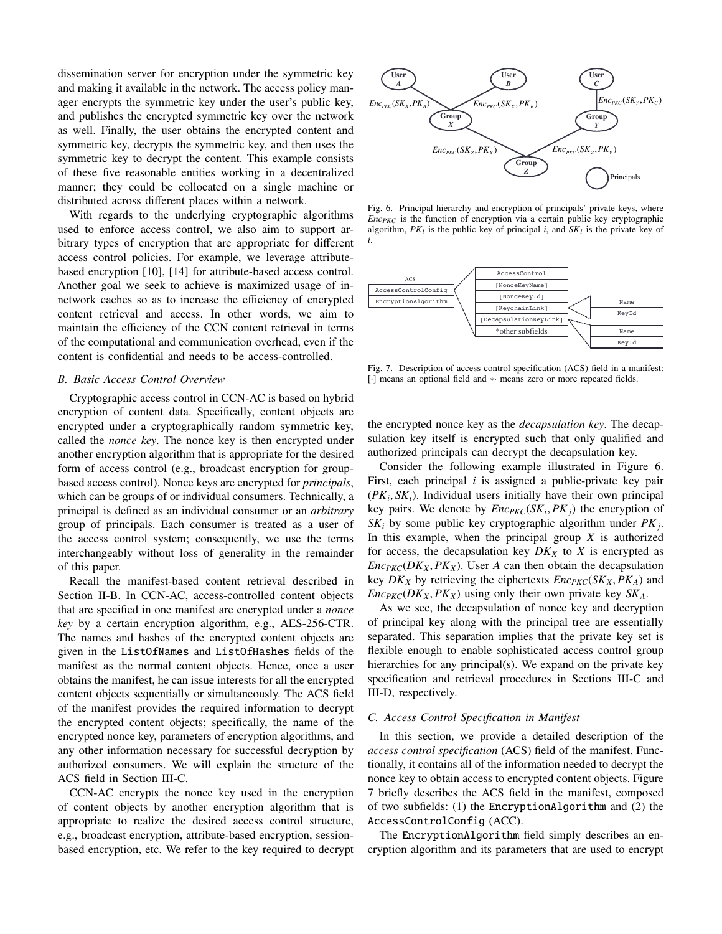dissemination server for encryption under the symmetric key and making it available in the network. The access policy manager encrypts the symmetric key under the user's public key, and publishes the encrypted symmetric key over the network as well. Finally, the user obtains the encrypted content and symmetric key, decrypts the symmetric key, and then uses the symmetric key to decrypt the content. This example consists of these five reasonable entities working in a decentralized manner; they could be collocated on a single machine or distributed across different places within a network.

With regards to the underlying cryptographic algorithms used to enforce access control, we also aim to support arbitrary types of encryption that are appropriate for different access control policies. For example, we leverage attributebased encryption [10], [14] for attribute-based access control. Another goal we seek to achieve is maximized usage of innetwork caches so as to increase the efficiency of encrypted content retrieval and access. In other words, we aim to maintain the efficiency of the CCN content retrieval in terms of the computational and communication overhead, even if the content is confidential and needs to be access-controlled.

## *B. Basic Access Control Overview*

Cryptographic access control in CCN-AC is based on hybrid encryption of content data. Specifically, content objects are encrypted under a cryptographically random symmetric key, called the *nonce key*. The nonce key is then encrypted under another encryption algorithm that is appropriate for the desired form of access control (e.g., broadcast encryption for groupbased access control). Nonce keys are encrypted for *principals*, which can be groups of or individual consumers. Technically, a principal is defined as an individual consumer or an *arbitrary* group of principals. Each consumer is treated as a user of the access control system; consequently, we use the terms interchangeably without loss of generality in the remainder of this paper.

Recall the manifest-based content retrieval described in Section II-B. In CCN-AC, access-controlled content objects that are specified in one manifest are encrypted under a *nonce key* by a certain encryption algorithm, e.g., AES-256-CTR. The names and hashes of the encrypted content objects are given in the ListOfNames and ListOfHashes fields of the manifest as the normal content objects. Hence, once a user obtains the manifest, he can issue interests for all the encrypted content objects sequentially or simultaneously. The ACS field of the manifest provides the required information to decrypt the encrypted content objects; specifically, the name of the encrypted nonce key, parameters of encryption algorithms, and any other information necessary for successful decryption by authorized consumers. We will explain the structure of the ACS field in Section III-C.

CCN-AC encrypts the nonce key used in the encryption of content objects by another encryption algorithm that is appropriate to realize the desired access control structure, e.g., broadcast encryption, attribute-based encryption, sessionbased encryption, etc. We refer to the key required to decrypt



Fig. 6. Principal hierarchy and encryption of principals' private keys, where *EncPKC* is the function of encryption via a certain public key cryptographic algorithm,  $PK_i$  is the public key of principal *i*, and  $SK_i$  is the private key of *i*.



Fig. 7. Description of access control specification (ACS) field in a manifest: [·] means an optional field and ∗· means zero or more repeated fields.

the encrypted nonce key as the *decapsulation key*. The decapsulation key itself is encrypted such that only qualified and authorized principals can decrypt the decapsulation key.

Consider the following example illustrated in Figure 6. First, each principal *i* is assigned a public-private key pair  $(PK_i, SK_i)$ . Individual users initially have their own principal<br>key pairs. We denote by  $Enc}_{\text{vec}(SK, PK_i)$  the encryption of key pairs. We denote by  $Enc_{PKC}(SK_i, PK_j)$  the encryption of  $SK_i$ , by some public key cryptographic algorithm under  $PK_i$ . *SK<sup>i</sup>* by some public key cryptographic algorithm under *PK<sup>j</sup>* . In this example, when the principal group *X* is authorized for access, the decapsulation key  $DK<sub>X</sub>$  to *X* is encrypted as  $Enc_{PKC}(DK_X, PK_X)$ . User *A* can then obtain the decapsulation key  $DK_X$  by retrieving the ciphertexts  $Enc_{PKC}(SK_X, PK_A)$  and *Enc*<sub>*PKC</sub>*( $DK_X$ ,  $PK_X$ ) using only their own private key  $SK_A$ .</sub>

As we see, the decapsulation of nonce key and decryption of principal key along with the principal tree are essentially separated. This separation implies that the private key set is flexible enough to enable sophisticated access control group hierarchies for any principal(s). We expand on the private key specification and retrieval procedures in Sections III-C and III-D, respectively.

## *C. Access Control Specification in Manifest*

In this section, we provide a detailed description of the *access control specification* (ACS) field of the manifest. Functionally, it contains all of the information needed to decrypt the nonce key to obtain access to encrypted content objects. Figure 7 briefly describes the ACS field in the manifest, composed of two subfields: (1) the EncryptionAlgorithm and (2) the AccessControlConfig (ACC).

The EncryptionAlgorithm field simply describes an encryption algorithm and its parameters that are used to encrypt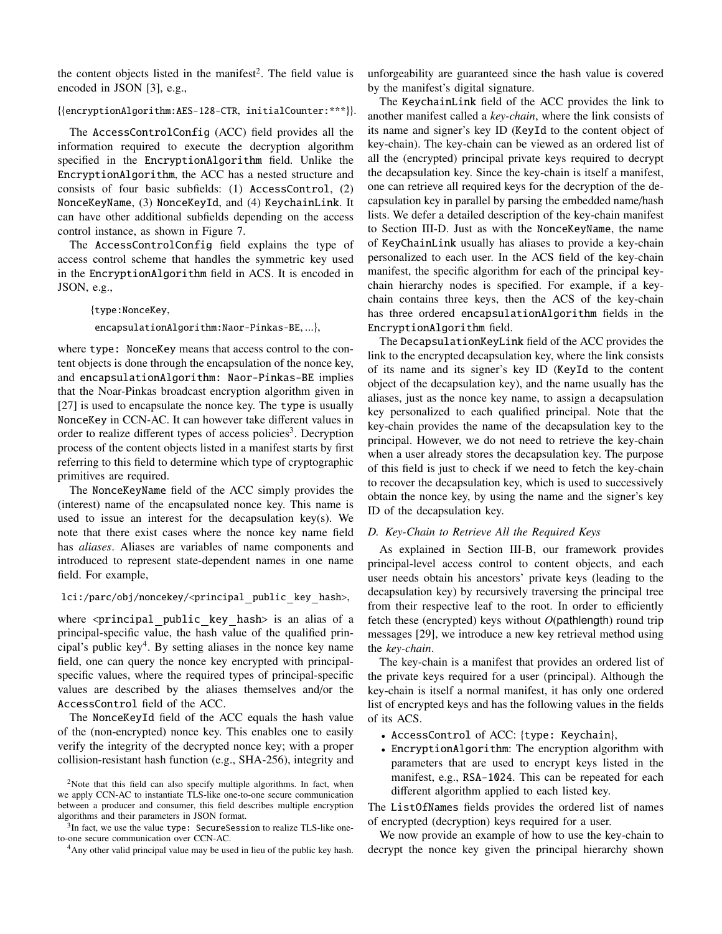the content objects listed in the manifest<sup>2</sup>. The field value is encoded in JSON [3], e.g.,

# {{encryptionAlgorithm:AES-128-CTR, initialCounter:\*\*\*}}.

The AccessControlConfig (ACC) field provides all the information required to execute the decryption algorithm specified in the EncryptionAlgorithm field. Unlike the EncryptionAlgorithm, the ACC has a nested structure and consists of four basic subfields: (1) AccessControl, (2) NonceKeyName, (3) NonceKeyId, and (4) KeychainLink. It can have other additional subfields depending on the access control instance, as shown in Figure 7.

The AccessControlConfig field explains the type of access control scheme that handles the symmetric key used in the EncryptionAlgorithm field in ACS. It is encoded in JSON, e.g.,

## {type:NonceKey,

encapsulationAlgorithm:Naor-Pinkas-BE, ...},

where type: NonceKey means that access control to the content objects is done through the encapsulation of the nonce key, and encapsulationAlgorithm: Naor-Pinkas-BE implies that the Noar-Pinkas broadcast encryption algorithm given in [27] is used to encapsulate the nonce key. The type is usually NonceKey in CCN-AC. It can however take different values in order to realize different types of access policies<sup>3</sup>. Decryption process of the content objects listed in a manifest starts by first referring to this field to determine which type of cryptographic primitives are required.

The NonceKeyName field of the ACC simply provides the (interest) name of the encapsulated nonce key. This name is used to issue an interest for the decapsulation key(s). We note that there exist cases where the nonce key name field has *aliases*. Aliases are variables of name components and introduced to represent state-dependent names in one name field. For example,

# lci:/parc/obj/noncekey/<principal\_public\_key\_hash>,

where  $\epsilon$  principal public key hash is an alias of a principal-specific value, the hash value of the qualified principal's public key<sup>4</sup>. By setting aliases in the nonce key name field, one can query the nonce key encrypted with principalspecific values, where the required types of principal-specific values are described by the aliases themselves and/or the AccessControl field of the ACC.

The NonceKeyId field of the ACC equals the hash value of the (non-encrypted) nonce key. This enables one to easily verify the integrity of the decrypted nonce key; with a proper collision-resistant hash function (e.g., SHA-256), integrity and unforgeability are guaranteed since the hash value is covered by the manifest's digital signature.

The KeychainLink field of the ACC provides the link to another manifest called a *key-chain*, where the link consists of its name and signer's key ID (KeyId to the content object of key-chain). The key-chain can be viewed as an ordered list of all the (encrypted) principal private keys required to decrypt the decapsulation key. Since the key-chain is itself a manifest, one can retrieve all required keys for the decryption of the decapsulation key in parallel by parsing the embedded name/hash lists. We defer a detailed description of the key-chain manifest to Section III-D. Just as with the NonceKeyName, the name of KeyChainLink usually has aliases to provide a key-chain personalized to each user. In the ACS field of the key-chain manifest, the specific algorithm for each of the principal keychain hierarchy nodes is specified. For example, if a keychain contains three keys, then the ACS of the key-chain has three ordered encapsulationAlgorithm fields in the EncryptionAlgorithm field.

The DecapsulationKeyLink field of the ACC provides the link to the encrypted decapsulation key, where the link consists of its name and its signer's key ID (KeyId to the content object of the decapsulation key), and the name usually has the aliases, just as the nonce key name, to assign a decapsulation key personalized to each qualified principal. Note that the key-chain provides the name of the decapsulation key to the principal. However, we do not need to retrieve the key-chain when a user already stores the decapsulation key. The purpose of this field is just to check if we need to fetch the key-chain to recover the decapsulation key, which is used to successively obtain the nonce key, by using the name and the signer's key ID of the decapsulation key.

# *D. Key-Chain to Retrieve All the Required Keys*

As explained in Section III-B, our framework provides principal-level access control to content objects, and each user needs obtain his ancestors' private keys (leading to the decapsulation key) by recursively traversing the principal tree from their respective leaf to the root. In order to efficiently fetch these (encrypted) keys without *O*(pathlength) round trip messages [29], we introduce a new key retrieval method using the *key-chain*.

The key-chain is a manifest that provides an ordered list of the private keys required for a user (principal). Although the key-chain is itself a normal manifest, it has only one ordered list of encrypted keys and has the following values in the fields of its ACS.

- AccessControl of ACC: {type: Keychain},
- EncryptionAlgorithm: The encryption algorithm with parameters that are used to encrypt keys listed in the manifest, e.g., RSA-1024. This can be repeated for each different algorithm applied to each listed key.

The ListOfNames fields provides the ordered list of names of encrypted (decryption) keys required for a user.

We now provide an example of how to use the key-chain to decrypt the nonce key given the principal hierarchy shown

<sup>&</sup>lt;sup>2</sup>Note that this field can also specify multiple algorithms. In fact, when we apply CCN-AC to instantiate TLS-like one-to-one secure communication between a producer and consumer, this field describes multiple encryption algorithms and their parameters in JSON format.

 $3$ In fact, we use the value type: SecureSession to realize TLS-like oneto-one secure communication over CCN-AC.

<sup>&</sup>lt;sup>4</sup>Any other valid principal value may be used in lieu of the public key hash.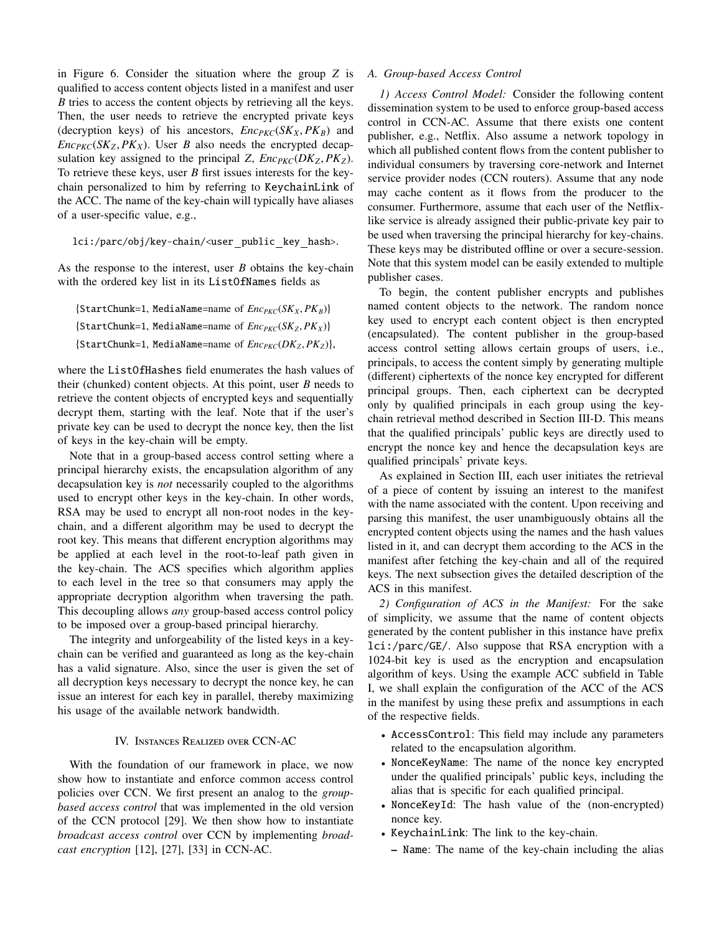in Figure 6. Consider the situation where the group *Z* is qualified to access content objects listed in a manifest and user *B* tries to access the content objects by retrieving all the keys. Then, the user needs to retrieve the encrypted private keys (decryption keys) of his ancestors,  $Enc_{PKC}(SK_X, PK_B)$  and  $Enc_{PKC}(SK_Z, PK_X)$ . User *B* also needs the encrypted decapsulation key assigned to the principal *Z*,  $Enc_{PKC}(DK_Z, PK_Z)$ . To retrieve these keys, user *B* first issues interests for the keychain personalized to him by referring to KeychainLink of the ACC. The name of the key-chain will typically have aliases of a user-specific value, e.g.,

# lci:/parc/obj/key-chain/<user public key hash>.

As the response to the interest, user *B* obtains the key-chain with the ordered key list in its ListOfNames fields as

```
{StartChunk=1, MediaName=name of <math>Enc_{PKC}(SK_X, PK_B)</math>}{StartChunk=1, MediaName=name of <math>Enc_{PKC}(SK_{Z}, PK_{X})}</math>{StartChunk=1, MediaName=name of EncPKC(DKZ, PKZ)},
```
where the ListOfHashes field enumerates the hash values of their (chunked) content objects. At this point, user *B* needs to retrieve the content objects of encrypted keys and sequentially decrypt them, starting with the leaf. Note that if the user's private key can be used to decrypt the nonce key, then the list of keys in the key-chain will be empty.

Note that in a group-based access control setting where a principal hierarchy exists, the encapsulation algorithm of any decapsulation key is *not* necessarily coupled to the algorithms used to encrypt other keys in the key-chain. In other words, RSA may be used to encrypt all non-root nodes in the keychain, and a different algorithm may be used to decrypt the root key. This means that different encryption algorithms may be applied at each level in the root-to-leaf path given in the key-chain. The ACS specifies which algorithm applies to each level in the tree so that consumers may apply the appropriate decryption algorithm when traversing the path. This decoupling allows *any* group-based access control policy to be imposed over a group-based principal hierarchy.

The integrity and unforgeability of the listed keys in a keychain can be verified and guaranteed as long as the key-chain has a valid signature. Also, since the user is given the set of all decryption keys necessary to decrypt the nonce key, he can issue an interest for each key in parallel, thereby maximizing his usage of the available network bandwidth.

# IV. Instances Realized over CCN-AC

With the foundation of our framework in place, we now show how to instantiate and enforce common access control policies over CCN. We first present an analog to the *groupbased access control* that was implemented in the old version of the CCN protocol [29]. We then show how to instantiate *broadcast access control* over CCN by implementing *broadcast encryption* [12], [27], [33] in CCN-AC.

## *A. Group-based Access Control*

*1) Access Control Model:* Consider the following content dissemination system to be used to enforce group-based access control in CCN-AC. Assume that there exists one content publisher, e.g., Netflix. Also assume a network topology in which all published content flows from the content publisher to individual consumers by traversing core-network and Internet service provider nodes (CCN routers). Assume that any node may cache content as it flows from the producer to the consumer. Furthermore, assume that each user of the Netflixlike service is already assigned their public-private key pair to be used when traversing the principal hierarchy for key-chains. These keys may be distributed offline or over a secure-session. Note that this system model can be easily extended to multiple publisher cases.

To begin, the content publisher encrypts and publishes named content objects to the network. The random nonce key used to encrypt each content object is then encrypted (encapsulated). The content publisher in the group-based access control setting allows certain groups of users, i.e., principals, to access the content simply by generating multiple (different) ciphertexts of the nonce key encrypted for different principal groups. Then, each ciphertext can be decrypted only by qualified principals in each group using the keychain retrieval method described in Section III-D. This means that the qualified principals' public keys are directly used to encrypt the nonce key and hence the decapsulation keys are qualified principals' private keys.

As explained in Section III, each user initiates the retrieval of a piece of content by issuing an interest to the manifest with the name associated with the content. Upon receiving and parsing this manifest, the user unambiguously obtains all the encrypted content objects using the names and the hash values listed in it, and can decrypt them according to the ACS in the manifest after fetching the key-chain and all of the required keys. The next subsection gives the detailed description of the ACS in this manifest.

*2) Configuration of ACS in the Manifest:* For the sake of simplicity, we assume that the name of content objects generated by the content publisher in this instance have prefix lci:/parc/GE/. Also suppose that RSA encryption with a 1024-bit key is used as the encryption and encapsulation algorithm of keys. Using the example ACC subfield in Table I, we shall explain the configuration of the ACC of the ACS in the manifest by using these prefix and assumptions in each of the respective fields.

- AccessControl: This field may include any parameters related to the encapsulation algorithm.
- NonceKeyName: The name of the nonce key encrypted under the qualified principals' public keys, including the alias that is specific for each qualified principal.
- NonceKeyId: The hash value of the (non-encrypted) nonce key.
- KeychainLink: The link to the key-chain.
	- Name: The name of the key-chain including the alias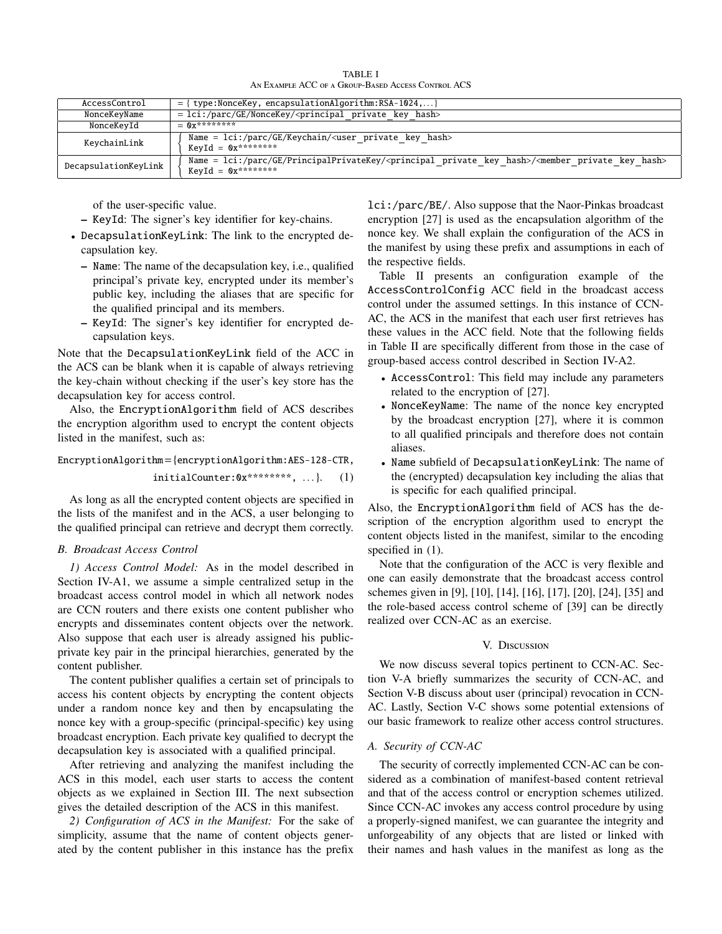TABLE I An Example ACC of a Group-Based Access Control ACS

| AccessControl        | $=$ { type:NonceKey, encapsulationAlgorithm:RSA-1024,}                                                                                                                                     |  |
|----------------------|--------------------------------------------------------------------------------------------------------------------------------------------------------------------------------------------|--|
| NonceKeyName         | $=$ lci:/parc/GE/NonceKey/ <principal hash="" key="" private=""></principal>                                                                                                               |  |
| NonceKeyId           | $-$ 0v*********                                                                                                                                                                            |  |
| KeychainLink         | Name = $lci://parc/GE/Keychain/\langle user\ private\ key\ hash\rangle$<br>$KevId = 0x********$                                                                                            |  |
| DecapsulationKeyLink | Name = lci:/parc/GE/PrincipalPrivateKey/ <principal_private_key_hash>/<member_private_key_hash><br/><math>KevId = 0x********</math></member_private_key_hash></principal_private_key_hash> |  |

of the user-specific value.

- KeyId: The signer's key identifier for key-chains.
- DecapsulationKeyLink: The link to the encrypted decapsulation key.
	- Name: The name of the decapsulation key, i.e., qualified principal's private key, encrypted under its member's public key, including the aliases that are specific for the qualified principal and its members.
	- KeyId: The signer's key identifier for encrypted decapsulation keys.

Note that the DecapsulationKeyLink field of the ACC in the ACS can be blank when it is capable of always retrieving the key-chain without checking if the user's key store has the decapsulation key for access control.

Also, the EncryptionAlgorithm field of ACS describes the encryption algorithm used to encrypt the content objects listed in the manifest, such as:

EncryptionAlgorithm={encryptionAlgorithm:AES-128-CTR,

$$
initialCounter: 0x*******, \ldots\}. (1)
$$

As long as all the encrypted content objects are specified in the lists of the manifest and in the ACS, a user belonging to the qualified principal can retrieve and decrypt them correctly.

## *B. Broadcast Access Control*

*1) Access Control Model:* As in the model described in Section IV-A1, we assume a simple centralized setup in the broadcast access control model in which all network nodes are CCN routers and there exists one content publisher who encrypts and disseminates content objects over the network. Also suppose that each user is already assigned his publicprivate key pair in the principal hierarchies, generated by the content publisher.

The content publisher qualifies a certain set of principals to access his content objects by encrypting the content objects under a random nonce key and then by encapsulating the nonce key with a group-specific (principal-specific) key using broadcast encryption. Each private key qualified to decrypt the decapsulation key is associated with a qualified principal.

After retrieving and analyzing the manifest including the ACS in this model, each user starts to access the content objects as we explained in Section III. The next subsection gives the detailed description of the ACS in this manifest.

*2) Configuration of ACS in the Manifest:* For the sake of simplicity, assume that the name of content objects generated by the content publisher in this instance has the prefix

lci:/parc/BE/. Also suppose that the Naor-Pinkas broadcast encryption [27] is used as the encapsulation algorithm of the nonce key. We shall explain the configuration of the ACS in the manifest by using these prefix and assumptions in each of the respective fields.

Table II presents an configuration example of the AccessControlConfig ACC field in the broadcast access control under the assumed settings. In this instance of CCN-AC, the ACS in the manifest that each user first retrieves has these values in the ACC field. Note that the following fields in Table II are specifically different from those in the case of group-based access control described in Section IV-A2.

- AccessControl: This field may include any parameters related to the encryption of [27].
- NonceKeyName: The name of the nonce key encrypted by the broadcast encryption [27], where it is common to all qualified principals and therefore does not contain aliases.
- Name subfield of DecapsulationKeyLink: The name of the (encrypted) decapsulation key including the alias that is specific for each qualified principal.

Also, the EncryptionAlgorithm field of ACS has the description of the encryption algorithm used to encrypt the content objects listed in the manifest, similar to the encoding specified in  $(1)$ .

Note that the configuration of the ACC is very flexible and one can easily demonstrate that the broadcast access control schemes given in [9], [10], [14], [16], [17], [20], [24], [35] and the role-based access control scheme of [39] can be directly realized over CCN-AC as an exercise.

# V. Discussion

We now discuss several topics pertinent to CCN-AC. Section V-A briefly summarizes the security of CCN-AC, and Section V-B discuss about user (principal) revocation in CCN-AC. Lastly, Section V-C shows some potential extensions of our basic framework to realize other access control structures.

# *A. Security of CCN-AC*

The security of correctly implemented CCN-AC can be considered as a combination of manifest-based content retrieval and that of the access control or encryption schemes utilized. Since CCN-AC invokes any access control procedure by using a properly-signed manifest, we can guarantee the integrity and unforgeability of any objects that are listed or linked with their names and hash values in the manifest as long as the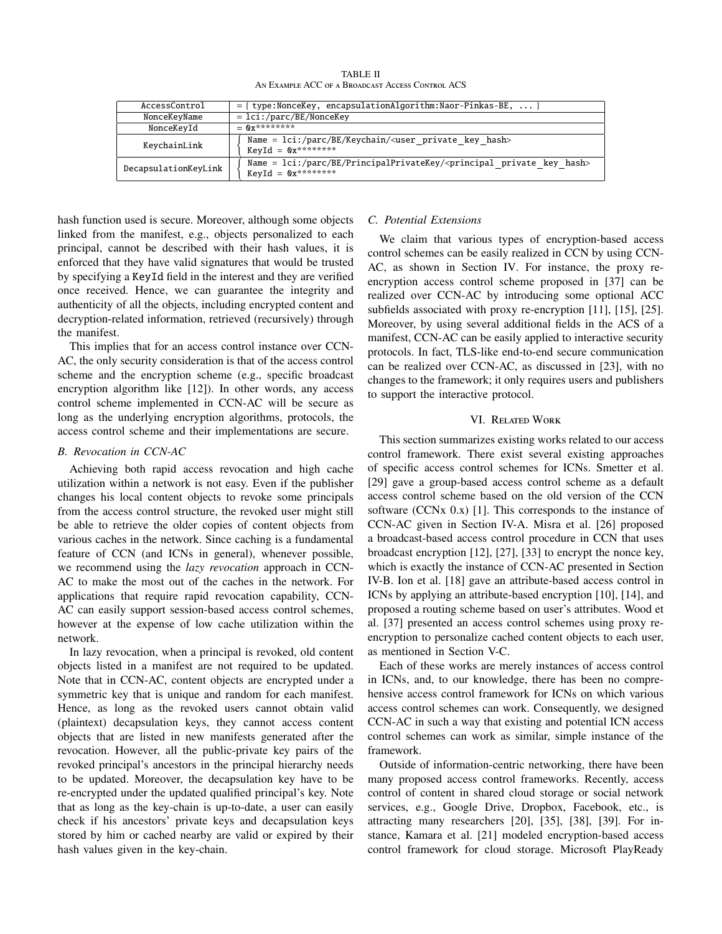TABLE II An Example ACC of a Broadcast Access Control ACS

| AccessControl        | $=$ { type:NonceKey, encapsulationAlgorithm:Naor-Pinkas-BE,  }                                                                     |
|----------------------|------------------------------------------------------------------------------------------------------------------------------------|
| NonceKeyName         | $=$ lci:/parc/BE/NonceKey                                                                                                          |
| NonceKeyId           | $= 0x********$                                                                                                                     |
| KeychainLink         | Name = $lci$ :/parc/BE/Keychain/ <user hash="" key="" private=""><br/><math>KevId = 0x********</math></user>                       |
| DecapsulationKeyLink | Name = $lci$ :/parc/BE/PrincipalPrivateKey/ <principal hash="" key="" private=""><br/><math>KeyId = 0x*********</math></principal> |

hash function used is secure. Moreover, although some objects linked from the manifest, e.g., objects personalized to each principal, cannot be described with their hash values, it is enforced that they have valid signatures that would be trusted by specifying a KeyId field in the interest and they are verified once received. Hence, we can guarantee the integrity and authenticity of all the objects, including encrypted content and decryption-related information, retrieved (recursively) through the manifest.

This implies that for an access control instance over CCN-AC, the only security consideration is that of the access control scheme and the encryption scheme (e.g., specific broadcast encryption algorithm like [12]). In other words, any access control scheme implemented in CCN-AC will be secure as long as the underlying encryption algorithms, protocols, the access control scheme and their implementations are secure.

# *B. Revocation in CCN-AC*

Achieving both rapid access revocation and high cache utilization within a network is not easy. Even if the publisher changes his local content objects to revoke some principals from the access control structure, the revoked user might still be able to retrieve the older copies of content objects from various caches in the network. Since caching is a fundamental feature of CCN (and ICNs in general), whenever possible, we recommend using the *lazy revocation* approach in CCN-AC to make the most out of the caches in the network. For applications that require rapid revocation capability, CCN-AC can easily support session-based access control schemes, however at the expense of low cache utilization within the network.

In lazy revocation, when a principal is revoked, old content objects listed in a manifest are not required to be updated. Note that in CCN-AC, content objects are encrypted under a symmetric key that is unique and random for each manifest. Hence, as long as the revoked users cannot obtain valid (plaintext) decapsulation keys, they cannot access content objects that are listed in new manifests generated after the revocation. However, all the public-private key pairs of the revoked principal's ancestors in the principal hierarchy needs to be updated. Moreover, the decapsulation key have to be re-encrypted under the updated qualified principal's key. Note that as long as the key-chain is up-to-date, a user can easily check if his ancestors' private keys and decapsulation keys stored by him or cached nearby are valid or expired by their hash values given in the key-chain.

# *C. Potential Extensions*

We claim that various types of encryption-based access control schemes can be easily realized in CCN by using CCN-AC, as shown in Section IV. For instance, the proxy reencryption access control scheme proposed in [37] can be realized over CCN-AC by introducing some optional ACC subfields associated with proxy re-encryption [11], [15], [25]. Moreover, by using several additional fields in the ACS of a manifest, CCN-AC can be easily applied to interactive security protocols. In fact, TLS-like end-to-end secure communication can be realized over CCN-AC, as discussed in [23], with no changes to the framework; it only requires users and publishers to support the interactive protocol.

# VI. Related Work

This section summarizes existing works related to our access control framework. There exist several existing approaches of specific access control schemes for ICNs. Smetter et al. [29] gave a group-based access control scheme as a default access control scheme based on the old version of the CCN software (CCNx 0.x) [1]. This corresponds to the instance of CCN-AC given in Section IV-A. Misra et al. [26] proposed a broadcast-based access control procedure in CCN that uses broadcast encryption [12], [27], [33] to encrypt the nonce key, which is exactly the instance of CCN-AC presented in Section IV-B. Ion et al. [18] gave an attribute-based access control in ICNs by applying an attribute-based encryption [10], [14], and proposed a routing scheme based on user's attributes. Wood et al. [37] presented an access control schemes using proxy reencryption to personalize cached content objects to each user, as mentioned in Section V-C.

Each of these works are merely instances of access control in ICNs, and, to our knowledge, there has been no comprehensive access control framework for ICNs on which various access control schemes can work. Consequently, we designed CCN-AC in such a way that existing and potential ICN access control schemes can work as similar, simple instance of the framework.

Outside of information-centric networking, there have been many proposed access control frameworks. Recently, access control of content in shared cloud storage or social network services, e.g., Google Drive, Dropbox, Facebook, etc., is attracting many researchers [20], [35], [38], [39]. For instance, Kamara et al. [21] modeled encryption-based access control framework for cloud storage. Microsoft PlayReady